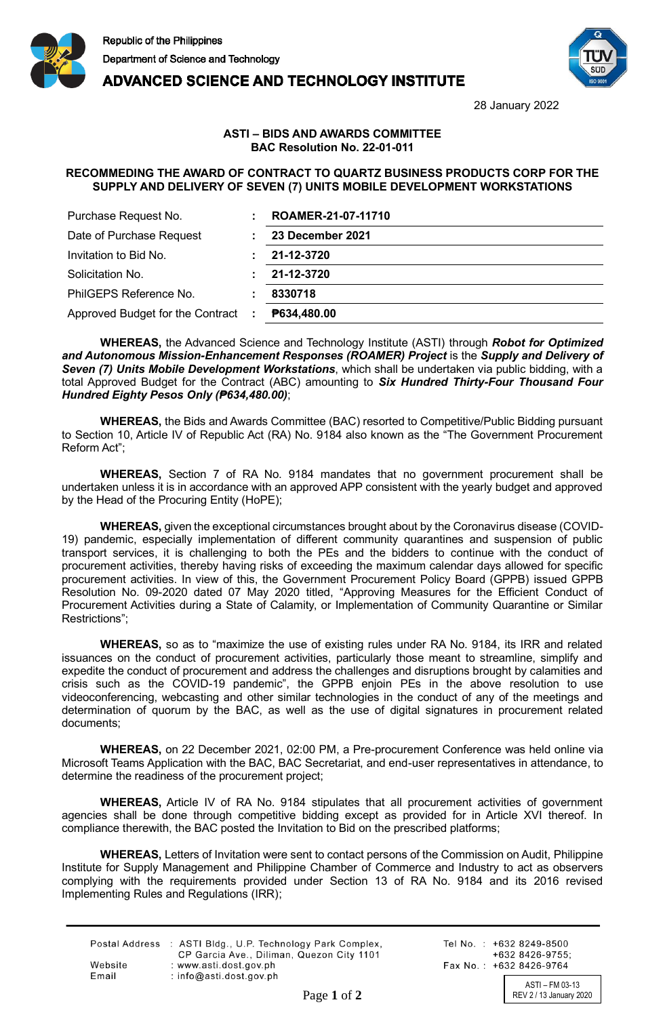

**ADVANCED SCIENCE AND TECHNOLOGY INSTITUTE** 



28 January 2022

## **ASTI – BIDS AND AWARDS COMMITTEE BAC Resolution No. 22-01-011**

## **RECOMMEDING THE AWARD OF CONTRACT TO QUARTZ BUSINESS PRODUCTS CORP FOR THE SUPPLY AND DELIVERY OF SEVEN (7) UNITS MOBILE DEVELOPMENT WORKSTATIONS**

| Purchase Request No.                               | ROAMER-21-07-11710 |
|----------------------------------------------------|--------------------|
| Date of Purchase Request                           | 23 December 2021   |
| Invitation to Bid No.                              | 21-12-3720         |
| Solicitation No.                                   | 21-12-3720         |
| PhilGEPS Reference No.                             | 8330718            |
| Approved Budget for the Contract<br>$\mathbb{R}^n$ | P634,480.00        |

**WHEREAS,** the Advanced Science and Technology Institute (ASTI) through *Robot for Optimized and Autonomous Mission-Enhancement Responses (ROAMER) Project* is the *Supply and Delivery of Seven (7) Units Mobile Development Workstations*, which shall be undertaken via public bidding, with a total Approved Budget for the Contract (ABC) amounting to *Six Hundred Thirty-Four Thousand Four Hundred Eighty Pesos Only (₱634,480.00)*;

**WHEREAS,** the Bids and Awards Committee (BAC) resorted to Competitive/Public Bidding pursuant to Section 10, Article IV of Republic Act (RA) No. 9184 also known as the "The Government Procurement Reform Act";

**WHEREAS,** Section 7 of RA No. 9184 mandates that no government procurement shall be undertaken unless it is in accordance with an approved APP consistent with the yearly budget and approved by the Head of the Procuring Entity (HoPE);

**WHEREAS,** given the exceptional circumstances brought about by the Coronavirus disease (COVID-19) pandemic, especially implementation of different community quarantines and suspension of public transport services, it is challenging to both the PEs and the bidders to continue with the conduct of procurement activities, thereby having risks of exceeding the maximum calendar days allowed for specific procurement activities. In view of this, the Government Procurement Policy Board (GPPB) issued GPPB Resolution No. 09-2020 dated 07 May 2020 titled, "Approving Measures for the Efficient Conduct of Procurement Activities during a State of Calamity, or Implementation of Community Quarantine or Similar Restrictions";

**WHEREAS,** so as to "maximize the use of existing rules under RA No. 9184, its IRR and related issuances on the conduct of procurement activities, particularly those meant to streamline, simplify and expedite the conduct of procurement and address the challenges and disruptions brought by calamities and crisis such as the COVID-19 pandemic", the GPPB enjoin PEs in the above resolution to use videoconferencing, webcasting and other similar technologies in the conduct of any of the meetings and determination of quorum by the BAC, as well as the use of digital signatures in procurement related documents;

**WHEREAS,** on 22 December 2021, 02:00 PM, a Pre-procurement Conference was held online via Microsoft Teams Application with the BAC, BAC Secretariat, and end-user representatives in attendance, to determine the readiness of the procurement project;

**WHEREAS,** Article IV of RA No. 9184 stipulates that all procurement activities of government agencies shall be done through competitive bidding except as provided for in Article XVI thereof. In compliance therewith, the BAC posted the Invitation to Bid on the prescribed platforms;

**WHEREAS,** Letters of Invitation were sent to contact persons of the Commission on Audit, Philippine Institute for Supply Management and Philippine Chamber of Commerce and Industry to act as observers complying with the requirements provided under Section 13 of RA No. 9184 and its 2016 revised Implementing Rules and Regulations (IRR);

|         | Postal Address : ASTI Bldg., U.P. Technology Park Complex,<br>CP Garcia Ave., Diliman, Quezon City 1101 |
|---------|---------------------------------------------------------------------------------------------------------|
| Website | : www.asti.dost.gov.ph                                                                                  |
| Email   | $:$ info@asti.dost.gov.ph                                                                               |

Tel No.: +632 8249-8500 +632 8426-9755: Fax No.: +632 8426-9764

ASTI – FM 03-13 Page 1 of 2 REV 2/13 January 2020